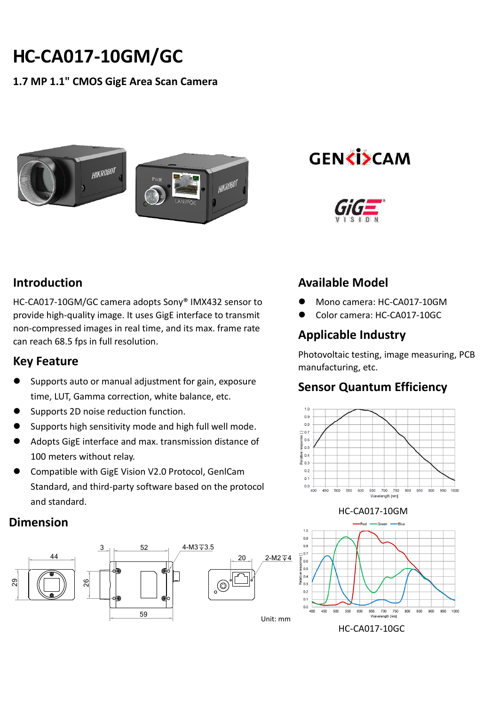# **HC-CA017-10GM/GC**

### **1.7 MP 1.1" CMOS GigE Area Scan Camera**



**GENKISCAM** 



## **Introduction**

HC-CA017-10GM/GC camera adopts Sony® IMX432 sensor to provide high-quality image. It uses GigE interface to transmit non-compressed images in real time, and its max. frame rate can reach 68.5 fps in full resolution.

#### **Key Feature**

- Supports auto or manual adjustment for gain, exposure time, LUT, Gamma correction, white balance, etc.
- Supports 2D noise reduction function.
- Supports high sensitivity mode and high full well mode.
- Adopts GigE interface and max. transmission distance of 100 meters without relay.
- Compatible with GigE Vision V2.0 Protocol, GenlCam Standard, and third-party software based on the protocol and standard.

#### **Dimension**



## **Available Model**

- Mono camera: HC-CA017-10GM
- Color camera: HC-CA017-10GC

## **Applicable Industry**

Photovoltaic testing, image measuring, PCB manufacturing, etc.

## **Sensor Quantum Efficiency**